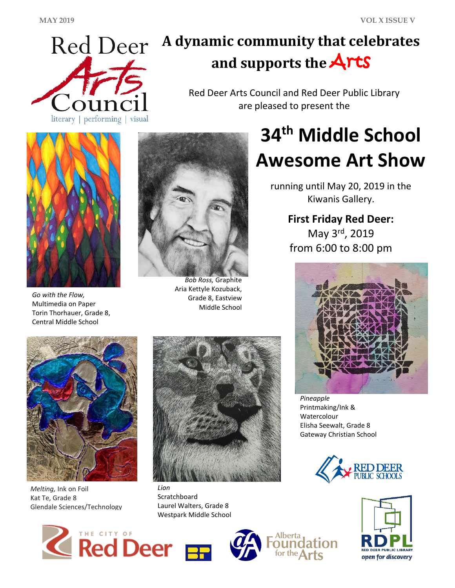

## **A dynamic community that celebrates and supports the** Arts

Red Deer Arts Council and Red Deer Public Library are pleased to present the



*Go with the Flow,*  Multimedia on Paper Torin Thorhauer, Grade 8, Central Middle School



*Bob Ross,* Graphite Aria Kettyle Kozuback, Grade 8, Eastview Middle School

# **34th Middle School Awesome Art Show**

running until May 20, 2019 in the Kiwanis Gallery.

## **First Friday Red Deer:**

May 3rd, 2019 from 6:00 to 8:00 pm



*Pineapple* Printmaking/Ink & Watercolour Elisha Seewalt, Grade 8 Gateway Christian School







*Melting,* Ink on Foil Kat Te, Grade 8 Glendale Sciences/Technology



*Lion* Scratchboard Laurel Walters, Grade 8 Westpark Middle School



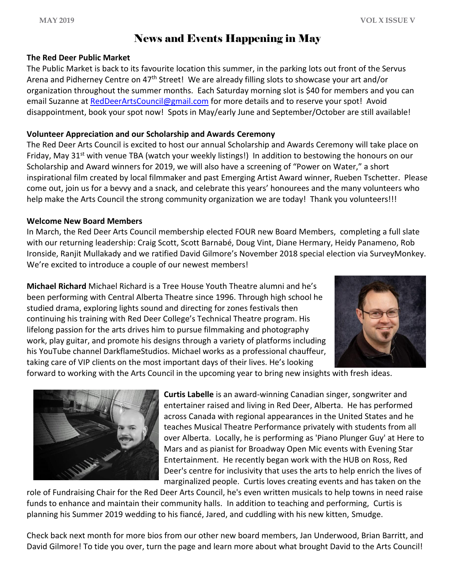## News and Events Happening in May

#### **The Red Deer Public Market**

The Public Market is back to its favourite location this summer, in the parking lots out front of the Servus Arena and Pidherney Centre on 47<sup>th</sup> Street! We are already filling slots to showcase your art and/or organization throughout the summer months. Each Saturday morning slot is \$40 for members and you can email Suzanne at [RedDeerArtsCouncil@gmail.com](mailto:RedDeerArtsCouncil@gmail.com) for more details and to reserve your spot! Avoid disappointment, book your spot now! Spots in May/early June and September/October are still available!

#### **Volunteer Appreciation and our Scholarship and Awards Ceremony**

The Red Deer Arts Council is excited to host our annual Scholarship and Awards Ceremony will take place on Friday, May 31<sup>st</sup> with venue TBA (watch your weekly listings!) In addition to bestowing the honours on our Scholarship and Award winners for 2019, we will also have a screening of "Power on Water," a short inspirational film created by local filmmaker and past Emerging Artist Award winner, Rueben Tschetter. Please come out, join us for a bevvy and a snack, and celebrate this years' honourees and the many volunteers who help make the Arts Council the strong community organization we are today! Thank you volunteers!!!

#### **Welcome New Board Members**

In March, the Red Deer Arts Council membership elected FOUR new Board Members, completing a full slate with our returning leadership: Craig Scott, Scott Barnabé, Doug Vint, Diane Hermary, Heidy Panameno, Rob Ironside, Ranjit Mullakady and we ratified David Gilmore's November 2018 special election via SurveyMonkey. We're excited to introduce a couple of our newest members!

**Michael Richard** Michael Richard is a Tree House Youth Theatre alumni and he's been performing with Central Alberta Theatre since 1996. Through high school he studied drama, exploring lights sound and directing for zones festivals then continuing his training with Red Deer College's Technical Theatre program. His lifelong passion for the arts drives him to pursue filmmaking and photography work, play guitar, and promote his designs through a variety of platforms including his YouTube channel DarkflameStudios. Michael works as a professional chauffeur, taking care of VIP clients on the most important days of their lives. He's looking



forward to working with the Arts Council in the upcoming year to bring new insights with fresh ideas.



**Curtis Labelle** is an award-winning Canadian singer, songwriter and entertainer raised and living in Red Deer, Alberta. He has performed across Canada with regional appearances in the United States and he teaches Musical Theatre Performance privately with students from all over Alberta. Locally, he is performing as 'Piano Plunger Guy' at Here to Mars and as pianist for Broadway Open Mic events with Evening Star Entertainment. He recently began work with the HUB on Ross, Red Deer's centre for inclusivity that uses the arts to help enrich the lives of marginalized people. Curtis loves creating events and has taken on the

role of Fundraising Chair for the Red Deer Arts Council, he's even written musicals to help towns in need raise funds to enhance and maintain their community halls. In addition to teaching and performing, Curtis is planning his Summer 2019 wedding to his fiancé, Jared, and cuddling with his new kitten, Smudge.

Check back next month for more bios from our other new board members, Jan Underwood, Brian Barritt, and David Gilmore! To tide you over, turn the page and learn more about what brought David to the Arts Council!